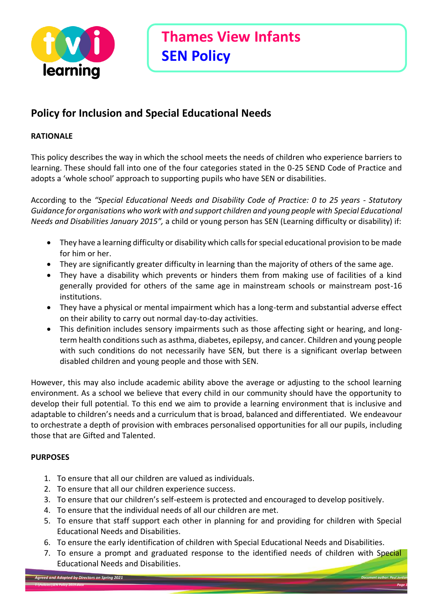

## **Policy for Inclusion and Special Educational Needs**

### **RATIONALE**

This policy describes the way in which the school meets the needs of children who experience barriers to learning. These should fall into one of the four categories stated in the 0-25 SEND Code of Practice and adopts a 'whole school' approach to supporting pupils who have SEN or disabilities.

According to the *"Special Educational Needs and Disability Code of Practice: 0 to 25 years - Statutory Guidance for organisations who work with and support children and young people with Special Educational Needs and Disabilities January 2015",* a child or young person has SEN (Learning difficulty or disability) if:

- They have a learning difficulty or disability which calls for special educational provision to be made for him or her.
- They are significantly greater difficulty in learning than the majority of others of the same age.
- They have a disability which prevents or hinders them from making use of facilities of a kind generally provided for others of the same age in mainstream schools or mainstream post-16 institutions.
- They have a physical or mental impairment which has a long-term and substantial adverse effect on their ability to carry out normal day-to-day activities.
- This definition includes sensory impairments such as those affecting sight or hearing, and longterm health conditions such as asthma, diabetes, epilepsy, and cancer. Children and young people with such conditions do not necessarily have SEN, but there is a significant overlap between disabled children and young people and those with SEN.

However, this may also include academic ability above the average or adjusting to the school learning environment. As a school we believe that every child in our community should have the opportunity to develop their full potential. To this end we aim to provide a learning environment that is inclusive and adaptable to children's needs and a curriculum that is broad, balanced and differentiated. We endeavour to orchestrate a depth of provision with embraces personalised opportunities for all our pupils, including those that are Gifted and Talented.

### **PURPOSES**

- 1. To ensure that all our children are valued as individuals.
- 2. To ensure that all our children experience success.
- 3. To ensure that our children's self-esteem is protected and encouraged to develop positively.
- 4. To ensure that the individual needs of all our children are met.
- 5. To ensure that staff support each other in planning for and providing for children with Special Educational Needs and Disabilities.
- 6. To ensure the early identification of children with Special Educational Needs and Disabilities.
- 7. To ensure a prompt and graduated response to the identified needs of children with Special Educational Needs and Disabilities.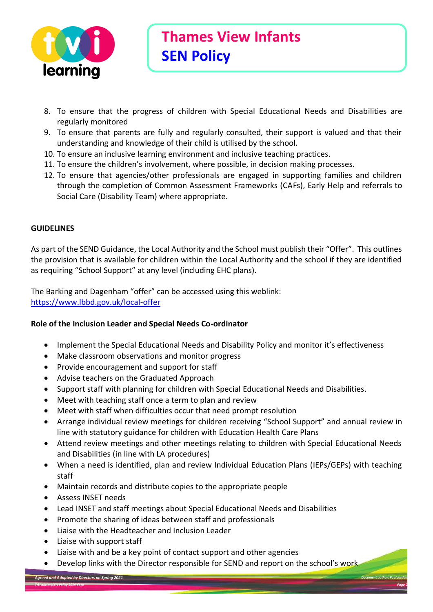

- 8. To ensure that the progress of children with Special Educational Needs and Disabilities are regularly monitored
- 9. To ensure that parents are fully and regularly consulted, their support is valued and that their understanding and knowledge of their child is utilised by the school.
- 10. To ensure an inclusive learning environment and inclusive teaching practices.
- 11. To ensure the children's involvement, where possible, in decision making processes.
- 12. To ensure that agencies/other professionals are engaged in supporting families and children through the completion of Common Assessment Frameworks (CAFs), Early Help and referrals to Social Care (Disability Team) where appropriate.

#### **GUIDELINES**

As part of the SEND Guidance, the Local Authority and the School must publish their "Offer". This outlines the provision that is available for children within the Local Authority and the school if they are identified as requiring "School Support" at any level (including EHC plans).

The Barking and Dagenham "offer" can be accessed using this weblink: <https://www.lbbd.gov.uk/local-offer>

#### **Role of the Inclusion Leader and Special Needs Co-ordinator**

- Implement the Special Educational Needs and Disability Policy and monitor it's effectiveness
- Make classroom observations and monitor progress
- Provide encouragement and support for staff
- Advise teachers on the Graduated Approach
- Support staff with planning for children with Special Educational Needs and Disabilities.
- Meet with teaching staff once a term to plan and review
- Meet with staff when difficulties occur that need prompt resolution
- Arrange individual review meetings for children receiving "School Support" and annual review in line with statutory guidance for children with Education Health Care Plans
- Attend review meetings and other meetings relating to children with Special Educational Needs and Disabilities (in line with LA procedures)
- When a need is identified, plan and review Individual Education Plans (IEPs/GEPs) with teaching staff
- Maintain records and distribute copies to the appropriate people
- Assess INSET needs
- Lead INSET and staff meetings about Special Educational Needs and Disabilities
- Promote the sharing of ideas between staff and professionals
- Liaise with the Headteacher and Inclusion Leader
- Liaise with support staff
- Liaise with and be a key point of contact support and other agencies
- Develop links with the Director responsible for SEND and report on the school's work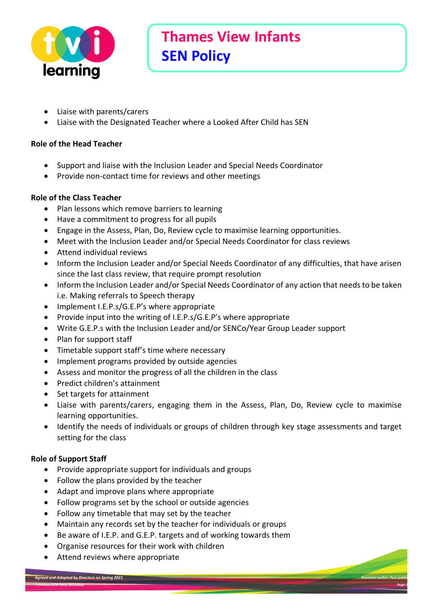

- Liaise with parents/carers
- Liaise with the Designated Teacher where a Looked After Child has SEN

#### **Role of the Head Teacher**

- Support and liaise with the Inclusion Leader and Special Needs Coordinator
- Provide non-contact time for reviews and other meetings

### **Role of the Class Teacher**

- Plan lessons which remove barriers to learning
- Have a commitment to progress for all pupils
- Engage in the Assess, Plan, Do, Review cycle to maximise learning opportunities.
- Meet with the Inclusion Leader and/or Special Needs Coordinator for class reviews
- Attend individual reviews
- Inform the Inclusion Leader and/or Special Needs Coordinator of any difficulties, that have arisen since the last class review, that require prompt resolution
- Inform the Inclusion Leader and/or Special Needs Coordinator of any action that needs to be taken i.e. Making referrals to Speech therapy
- Implement I.E.P.s/G.E.P's where appropriate
- Provide input into the writing of I.E.P.s/G.E.P's where appropriate
- Write G.E.P.s with the Inclusion Leader and/or SENCo/Year Group Leader support
- Plan for support staff
- Timetable support staff's time where necessary
- Implement programs provided by outside agencies
- Assess and monitor the progress of all the children in the class
- Predict children's attainment
- Set targets for attainment
- Liaise with parents/carers, engaging them in the Assess, Plan, Do, Review cycle to maximise learning opportunities.
- Identify the needs of individuals or groups of children through key stage assessments and target setting for the class

### **Role of Support Staff**

- Provide appropriate support for individuals and groups
- Follow the plans provided by the teacher
- Adapt and improve plans where appropriate
- Follow programs set by the school or outside agencies
- Follow any timetable that may set by the teacher
- Maintain any records set by the teacher for individuals or groups
- Be aware of I.E.P. and G.E.P. targets and of working towards them
- Organise resources for their work with children
- Attend reviews where appropriate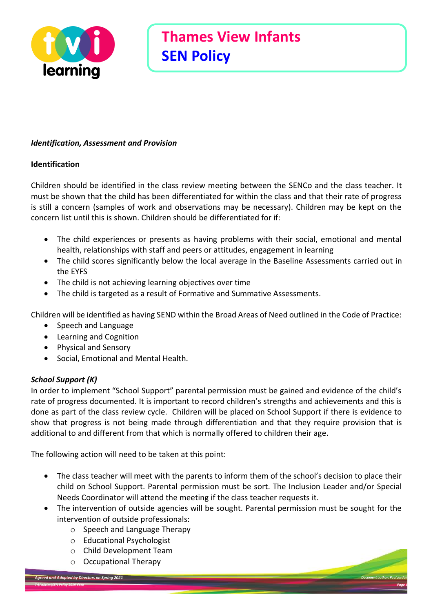

#### *Identification, Assessment and Provision*

#### **Identification**

Children should be identified in the class review meeting between the SENCo and the class teacher. It must be shown that the child has been differentiated for within the class and that their rate of progress is still a concern (samples of work and observations may be necessary). Children may be kept on the concern list until this is shown. Children should be differentiated for if:

- The child experiences or presents as having problems with their social, emotional and mental health, relationships with staff and peers or attitudes, engagement in learning
- The child scores significantly below the local average in the Baseline Assessments carried out in the EYFS
- The child is not achieving learning objectives over time
- The child is targeted as a result of Formative and Summative Assessments.

Children will be identified as having SEND within the Broad Areas of Need outlined in the Code of Practice:

- Speech and Language
- Learning and Cognition
- Physical and Sensory
- Social, Emotional and Mental Health.

### *School Support (K)*

In order to implement "School Support" parental permission must be gained and evidence of the child's rate of progress documented. It is important to record children's strengths and achievements and this is done as part of the class review cycle. Children will be placed on School Support if there is evidence to show that progress is not being made through differentiation and that they require provision that is additional to and different from that which is normally offered to children their age.

The following action will need to be taken at this point:

- The class teacher will meet with the parents to inform them of the school's decision to place their child on School Support. Parental permission must be sort. The Inclusion Leader and/or Special Needs Coordinator will attend the meeting if the class teacher requests it.
- The intervention of outside agencies will be sought. Parental permission must be sought for the intervention of outside professionals:
	- o Speech and Language Therapy
	- o Educational Psychologist
	- o Child Development Team
	- o Occupational Therapy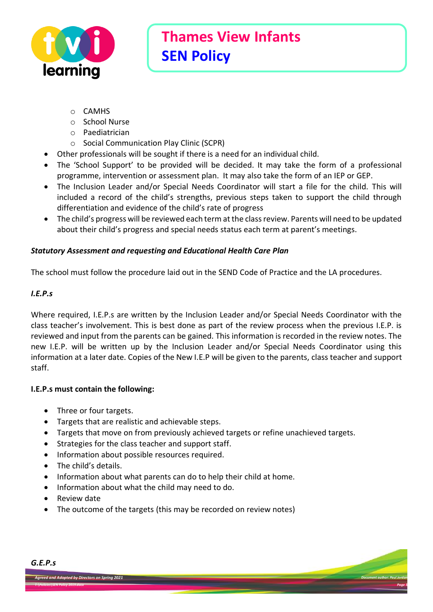

- o CAMHS
- o School Nurse
- o Paediatrician
- o Social Communication Play Clinic (SCPR)
- Other professionals will be sought if there is a need for an individual child.
- The 'School Support' to be provided will be decided. It may take the form of a professional programme, intervention or assessment plan. It may also take the form of an IEP or GEP.
- The Inclusion Leader and/or Special Needs Coordinator will start a file for the child. This will included a record of the child's strengths, previous steps taken to support the child through differentiation and evidence of the child's rate of progress
- The child's progress will be reviewed each term at the class review. Parents will need to be updated about their child's progress and special needs status each term at parent's meetings.

### *Statutory Assessment and requesting and Educational Health Care Plan*

The school must follow the procedure laid out in the SEND Code of Practice and the LA procedures.

#### *I.E.P.s*

Where required, I.E.P.s are written by the Inclusion Leader and/or Special Needs Coordinator with the class teacher's involvement. This is best done as part of the review process when the previous I.E.P. is reviewed and input from the parents can be gained. This information is recorded in the review notes. The new I.E.P. will be written up by the Inclusion Leader and/or Special Needs Coordinator using this information at a later date. Copies of the New I.E.P will be given to the parents, class teacher and support staff.

#### **I.E.P.s must contain the following:**

- Three or four targets.
- Targets that are realistic and achievable steps.
- Targets that move on from previously achieved targets or refine unachieved targets.
- Strategies for the class teacher and support staff.
- Information about possible resources required.
- The child's details.
- Information about what parents can do to help their child at home.
- Information about what the child may need to do.
- Review date
- The outcome of the targets (this may be recorded on review notes)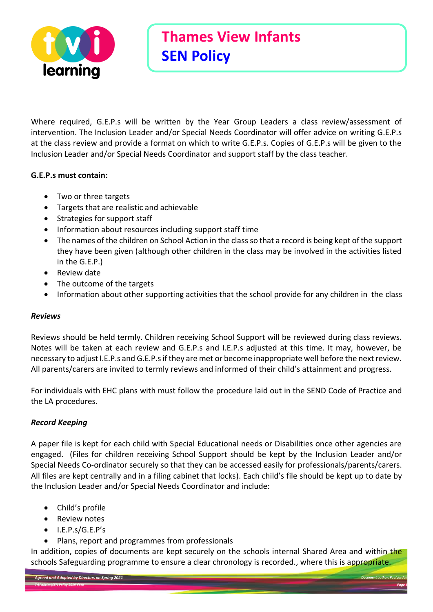

Where required, G.E.P.s will be written by the Year Group Leaders a class review/assessment of intervention. The Inclusion Leader and/or Special Needs Coordinator will offer advice on writing G.E.P.s at the class review and provide a format on which to write G.E.P.s. Copies of G.E.P.s will be given to the Inclusion Leader and/or Special Needs Coordinator and support staff by the class teacher.

### **G.E.P.s must contain:**

- Two or three targets
- Targets that are realistic and achievable
- Strategies for support staff
- Information about resources including support staff time
- The names of the children on School Action in the class so that a record is being kept of the support they have been given (although other children in the class may be involved in the activities listed in the G.E.P.)
- Review date
- The outcome of the targets
- Information about other supporting activities that the school provide for any children in the class

### *Reviews*

Reviews should be held termly. Children receiving School Support will be reviewed during class reviews. Notes will be taken at each review and G.E.P.s and I.E.P.s adjusted at this time. It may, however, be necessary to adjust I.E.P.s and G.E.P.s if they are met or become inappropriate well before the next review. All parents/carers are invited to termly reviews and informed of their child's attainment and progress.

For individuals with EHC plans with must follow the procedure laid out in the SEND Code of Practice and the LA procedures.

### *Record Keeping*

A paper file is kept for each child with Special Educational needs or Disabilities once other agencies are engaged. (Files for children receiving School Support should be kept by the Inclusion Leader and/or Special Needs Co-ordinator securely so that they can be accessed easily for professionals/parents/carers. All files are kept centrally and in a filing cabinet that locks). Each child's file should be kept up to date by the Inclusion Leader and/or Special Needs Coordinator and include:

- Child's profile
- Review notes
- I.E.P.s/G.E.P's
- Plans, report and programmes from professionals

In addition, copies of documents are kept securely on the schools internal Shared Area and within the schools Safeguarding programme to ensure a clear chronology is recorded., where this is appropriate.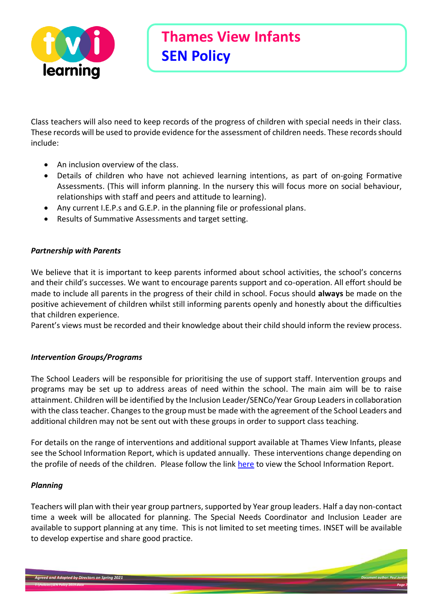

Class teachers will also need to keep records of the progress of children with special needs in their class. These records will be used to provide evidence for the assessment of children needs. These records should include:

- An inclusion overview of the class.
- Details of children who have not achieved learning intentions, as part of on-going Formative Assessments. (This will inform planning. In the nursery this will focus more on social behaviour, relationships with staff and peers and attitude to learning).
- Any current I.E.P.s and G.E.P. in the planning file or professional plans.
- Results of Summative Assessments and target setting.

### *Partnership with Parents*

We believe that it is important to keep parents informed about school activities, the school's concerns and their child's successes. We want to encourage parents support and co-operation. All effort should be made to include all parents in the progress of their child in school. Focus should **always** be made on the positive achievement of children whilst still informing parents openly and honestly about the difficulties that children experience.

Parent's views must be recorded and their knowledge about their child should inform the review process.

### *Intervention Groups/Programs*

The School Leaders will be responsible for prioritising the use of support staff. Intervention groups and programs may be set up to address areas of need within the school. The main aim will be to raise attainment. Children will be identified by the Inclusion Leader/SENCo/Year Group Leaders in collaboration with the class teacher. Changes to the group must be made with the agreement of the School Leaders and additional children may not be sent out with these groups in order to support class teaching.

For details on the range of interventions and additional support available at Thames View Infants, please see the School Information Report, which is updated annually. These interventions change depending on the profile of needs of the children. Please follow the link [here](https://thamesviewinfants.org/wp-content/uploads/2020/11/2020-21-SEND-School-Information-Report-.pdf) to view the School Information Report.

#### *Planning*

Teachers will plan with their year group partners, supported by Year group leaders. Half a day non-contact time a week will be allocated for planning. The Special Needs Coordinator and Inclusion Leader are available to support planning at any time. This is not limited to set meeting times. INSET will be available to develop expertise and share good practice.